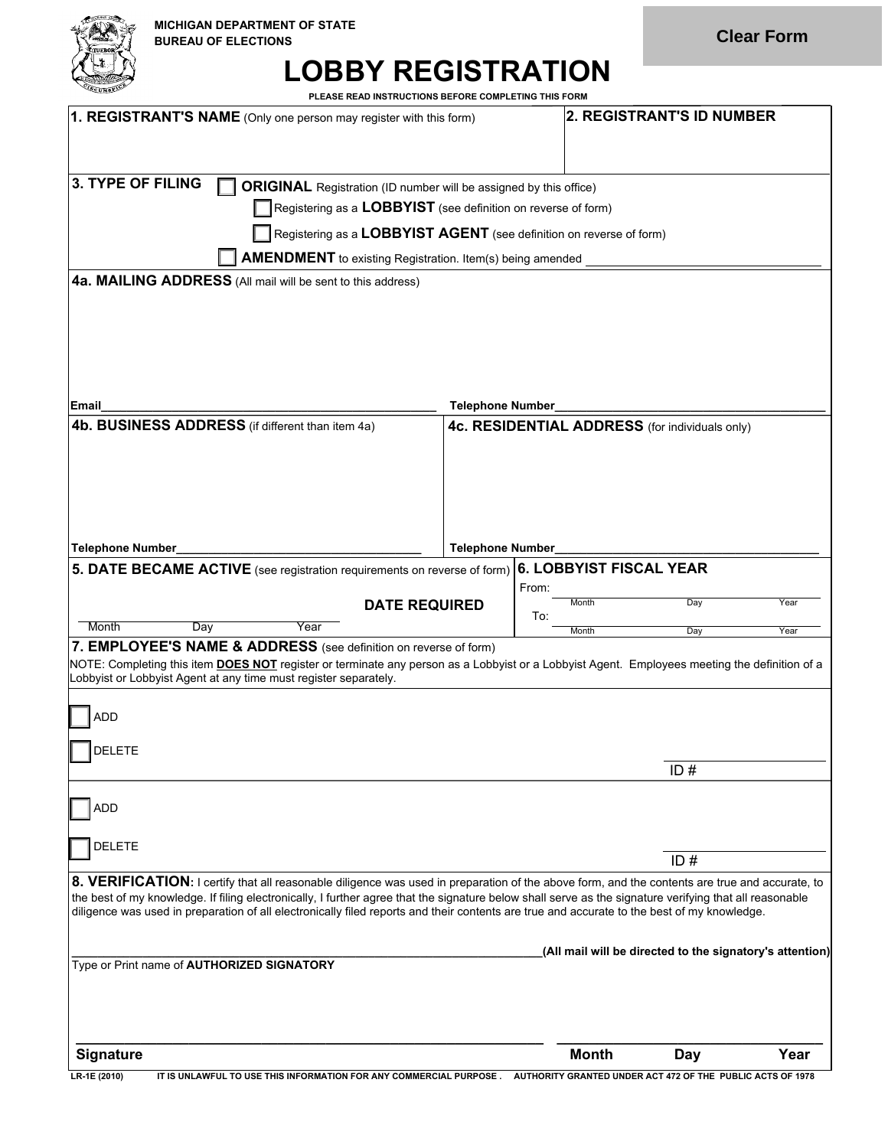

## **LOBBY REGISTRATION**

**PLEASE READ INSTRUCTIONS BEFORE COMPLETING THIS FORM**

| 1. REGISTRANT'S NAME (Only one person may register with this form)                                                                                                                                                                                                                                     |                         | <b>2. REGISTRANT'S ID NUMBER</b>               |                                                          |      |
|--------------------------------------------------------------------------------------------------------------------------------------------------------------------------------------------------------------------------------------------------------------------------------------------------------|-------------------------|------------------------------------------------|----------------------------------------------------------|------|
|                                                                                                                                                                                                                                                                                                        |                         |                                                |                                                          |      |
|                                                                                                                                                                                                                                                                                                        |                         |                                                |                                                          |      |
| 3. TYPE OF FILING<br><b>ORIGINAL</b> Registration (ID number will be assigned by this office)                                                                                                                                                                                                          |                         |                                                |                                                          |      |
| Registering as a $LOBBYIST$ (see definition on reverse of form)                                                                                                                                                                                                                                        |                         |                                                |                                                          |      |
| Registering as a LOBBYIST AGENT (see definition on reverse of form)                                                                                                                                                                                                                                    |                         |                                                |                                                          |      |
| <b>AMENDMENT</b> to existing Registration. Item(s) being amended                                                                                                                                                                                                                                       |                         |                                                |                                                          |      |
| 4a. MAILING ADDRESS (All mail will be sent to this address)                                                                                                                                                                                                                                            |                         |                                                |                                                          |      |
|                                                                                                                                                                                                                                                                                                        |                         |                                                |                                                          |      |
|                                                                                                                                                                                                                                                                                                        |                         |                                                |                                                          |      |
|                                                                                                                                                                                                                                                                                                        |                         |                                                |                                                          |      |
|                                                                                                                                                                                                                                                                                                        |                         |                                                |                                                          |      |
| Email                                                                                                                                                                                                                                                                                                  | <b>Telephone Number</b> |                                                |                                                          |      |
| 4b. BUSINESS ADDRESS (if different than item 4a)                                                                                                                                                                                                                                                       |                         | 4c. RESIDENTIAL ADDRESS (for individuals only) |                                                          |      |
|                                                                                                                                                                                                                                                                                                        |                         |                                                |                                                          |      |
|                                                                                                                                                                                                                                                                                                        |                         |                                                |                                                          |      |
|                                                                                                                                                                                                                                                                                                        |                         |                                                |                                                          |      |
|                                                                                                                                                                                                                                                                                                        |                         |                                                |                                                          |      |
| <b>Telephone Number</b>                                                                                                                                                                                                                                                                                | <b>Telephone Number</b> |                                                |                                                          |      |
| 5. DATE BECAME ACTIVE (see registration requirements on reverse of form)                                                                                                                                                                                                                               |                         | 6. LOBBYIST FISCAL YEAR                        |                                                          |      |
| <b>DATE REQUIRED</b>                                                                                                                                                                                                                                                                                   |                         | From:<br>Month                                 | Day                                                      | Year |
| Month<br>Day<br>Year                                                                                                                                                                                                                                                                                   |                         |                                                |                                                          |      |
|                                                                                                                                                                                                                                                                                                        |                         | To:                                            |                                                          |      |
| 7. EMPLOYEE'S NAME & ADDRESS (see definition on reverse of form)                                                                                                                                                                                                                                       |                         | Month                                          | Day                                                      | Year |
| NOTE: Completing this item <b>DOES NOT</b> register or terminate any person as a Lobbyist or a Lobbyist Agent. Employees meeting the definition of a                                                                                                                                                   |                         |                                                |                                                          |      |
| Lobbyist or Lobbyist Agent at any time must register separately.                                                                                                                                                                                                                                       |                         |                                                |                                                          |      |
| <b>ADD</b>                                                                                                                                                                                                                                                                                             |                         |                                                |                                                          |      |
|                                                                                                                                                                                                                                                                                                        |                         |                                                |                                                          |      |
| <b>DELETE</b>                                                                                                                                                                                                                                                                                          |                         |                                                | ID#                                                      |      |
|                                                                                                                                                                                                                                                                                                        |                         |                                                |                                                          |      |
| <b>ADD</b>                                                                                                                                                                                                                                                                                             |                         |                                                |                                                          |      |
|                                                                                                                                                                                                                                                                                                        |                         |                                                |                                                          |      |
| <b>DELETE</b>                                                                                                                                                                                                                                                                                          |                         |                                                | ID#                                                      |      |
| 8. VERIFICATION: I certify that all reasonable diligence was used in preparation of the above form, and the contents are true and accurate, to                                                                                                                                                         |                         |                                                |                                                          |      |
| the best of my knowledge. If filing electronically, I further agree that the signature below shall serve as the signature verifying that all reasonable<br>diligence was used in preparation of all electronically filed reports and their contents are true and accurate to the best of my knowledge. |                         |                                                |                                                          |      |
|                                                                                                                                                                                                                                                                                                        |                         |                                                |                                                          |      |
|                                                                                                                                                                                                                                                                                                        |                         |                                                | (All mail will be directed to the signatory's attention) |      |
| Type or Print name of <b>AUTHORIZED SIGNATORY</b>                                                                                                                                                                                                                                                      |                         |                                                |                                                          |      |
|                                                                                                                                                                                                                                                                                                        |                         |                                                |                                                          |      |
|                                                                                                                                                                                                                                                                                                        |                         |                                                |                                                          |      |
| Signature                                                                                                                                                                                                                                                                                              |                         | <b>Month</b>                                   | Day                                                      | Year |